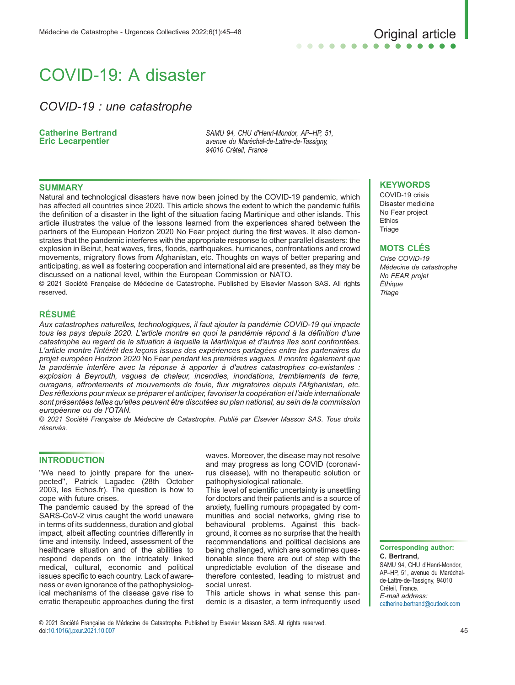# . . . . . .

## COVID-19: A disaster

### COVID-19 : une catastrophe

#### Catherine Bertrand Eric Lecarpentier

SAMU 94, CHU d'Henri-Mondor, AP–HP, 51, avenue du Maréchal-de-Lattre-de-Tassigny, 94010 Créteil, France

#### SUMMARY

Natural and technological disasters have now been joined by the COVID-19 pandemic, which has affected all countries since 2020. This article shows the extent to which the pandemic fulfils the definition of a disaster in the light of the situation facing Martinique and other islands. This article illustrates the value of the lessons learned from the experiences shared between the partners of the European Horizon 2020 No Fear project during the first waves. It also demonstrates that the pandemic interferes with the appropriate response to other parallel disasters: the explosion in Beirut, heat waves, fires, floods, earthquakes, hurricanes, confrontations and crowd movements, migratory flows from Afghanistan, etc. Thoughts on ways of better preparing and anticipating, as well as fostering cooperation and international aid are presented, as they may be discussed on a national level, within the European Commission or NATO.

© 2021 Société Française de Médecine de Catastrophe. Published by Elsevier Masson SAS. All rights reserved.

#### RÉSUMÉ

Aux catastrophes naturelles, technologiques, il faut ajouter la pandémie COVID-19 qui impacte tous les pays depuis 2020. L'article montre en quoi la pandémie répond à la définition d'une catastrophe au regard de la situation à laquelle la Martinique et d'autres îles sont confrontées. L'article montre l'intérêt des leçons issues des expériences partagées entre les partenaires du projet européen Horizon 2020 No Fear pendant les premières vagues. Il montre également que la pandémie interfère avec la réponse à apporter à d'autres catastrophes co-existantes : explosion à Beyrouth, vagues de chaleur, incendies, inondations, tremblements de terre, ouragans, affrontements et mouvements de foule, flux migratoires depuis l'Afghanistan, etc. Des réflexions pour mieux se préparer et anticiper, favoriser la coopération et l'aide internationale sont présentées telles qu'elles peuvent être discutées au plan national, au sein de la commission européenne ou de l'OTAN.

© 2021 Société Française de Médecine de Catastrophe. Publié par Elsevier Masson SAS. Tous droits réservés.

#### **INTRODUCTION**

"We need to jointly prepare for the unexpected'', Patrick Lagadec (28th October 2003, les Echos.fr). The question is how to cope with future crises.

The pandemic caused by the spread of the SARS-CoV-2 virus caught the world unaware in terms of its suddenness, duration and global impact, albeit affecting countries differently in time and intensity. Indeed, assessment of the healthcare situation and of the abilities to respond depends on the intricately linked medical, cultural, economic and political issues specific to each country. Lack of awareness or even ignorance of the pathophysiological mechanisms of the disease gave rise to erratic therapeutic approaches during the first waves. Moreover, the disease may not resolve and may progress as long COVID (coronavirus disease), with no therapeutic solution or pathophysiological rationale.

This level of scientific uncertainty is unsettling for doctors and their patients and is a source of anxiety, fuelling rumours propagated by communities and social networks, giving rise to behavioural problems. Against this background, it comes as no surprise that the health recommendations and political decisions are being challenged, which are sometimes questionable since there are out of step with the unpredictable evolution of the disease and therefore contested, leading to mistrust and social unrest.

This article shows in what sense this pandemic is a disaster, a term infrequently used

#### **KEYWORDS**

COVID-19 crisis Disaster medicine No Fear project Ethics **Triage** 

#### MOTS CLÉS

Crise COVID-19 Médecine de catastrophe No FEAR projet Éthique **Triage** 

Corresponding author: C. Bertrand, SAMU 94, CHU d'Henri-Mondor, AP–HP, 51, avenue du Maréchalde-Lattre-de-Tassigny, 94010 Créteil, France. E-mail address: [catherine.bertrand@outlook.com](mailto:catherine.bertrand@outlook.com)

© 2021 Société Française de Médecine de Catastrophe. Published by Elsevier Masson SAS. All rights reserved. doi:[10.1016/j.pxur.2021.10.007](http://dx.doi.org/10.1016/j.pxur.2021.10.007) 45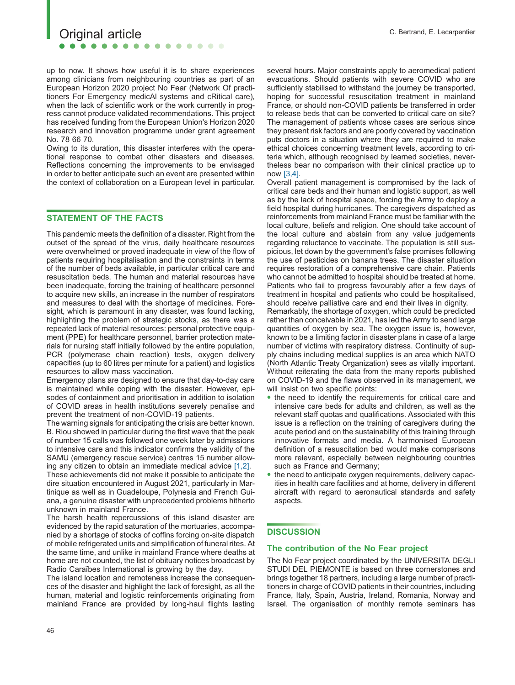up to now. It shows how useful it is to share experiences among clinicians from neighbouring countries as part of an European Horizon 2020 project No Fear (Network Of practitioners For Emergency medicAl systems and cRitical care), when the lack of scientific work or the work currently in progress cannot produce validated recommendations. This project has received funding from the European Union's Horizon 2020 research and innovation programme under grant agreement No. 78 66 70.

. . . . . .

Owing to its duration, this disaster interferes with the operational response to combat other disasters and diseases. Reflections concerning the improvements to be envisaged in order to better anticipate such an event are presented within the context of collaboration on a European level in particular.

#### STATEMENT OF THE FACTS

This pandemic meets the definition of a disaster. Right from the outset of the spread of the virus, daily healthcare resources were overwhelmed or proved inadequate in view of the flow of patients requiring hospitalisation and the constraints in terms of the number of beds available, in particular critical care and resuscitation beds. The human and material resources have been inadequate, forcing the training of healthcare personnel to acquire new skills, an increase in the number of respirators and measures to deal with the shortage of medicines. Foresight, which is paramount in any disaster, was found lacking, highlighting the problem of strategic stocks, as there was a repeated lack of material resources: personal protective equipment (PPE) for healthcare personnel, barrier protection materials for nursing staff initially followed by the entire population, PCR (polymerase chain reaction) tests, oxygen delivery capacities (up to 60 litres per minute for a patient) and logistics resources to allow mass vaccination.

Emergency plans are designed to ensure that day-to-day care is maintained while coping with the disaster. However, episodes of containment and prioritisation in addition to isolation of COVID areas in health institutions severely penalise and prevent the treatment of non-COVID-19 patients.

The warning signals for anticipating the crisis are better known. B. Riou showed in particular during the first wave that the peak of number 15 calls was followed one week later by admissions to intensive care and this indicator confirms the validity of the SAMU (emergency rescue service) centres 15 number allowing any citizen to obtain an immediate medical advice [\[1,2\]](#page-3-0).

These achievements did not make it possible to anticipate the dire situation encountered in August 2021, particularly in Martinique as well as in Guadeloupe, Polynesia and French Guiana, a genuine disaster with unprecedented problems hitherto unknown in mainland France.

The harsh health repercussions of this island disaster are evidenced by the rapid saturation of the mortuaries, accompanied by a shortage of stocks of coffins forcing on-site dispatch of mobile refrigerated units and simplification of funeral rites. At the same time, and unlike in mainland France where deaths at home are not counted, the list of obituary notices broadcast by Radio Caraïbes International is growing by the day.

The island location and remoteness increase the consequences of the disaster and highlight the lack of foresight, as all the human, material and logistic reinforcements originating from mainland France are provided by long-haul flights lasting several hours. Major constraints apply to aeromedical patient evacuations. Should patients with severe COVID who are sufficiently stabilised to withstand the journey be transported, hoping for successful resuscitation treatment in mainland France, or should non-COVID patients be transferred in order to release beds that can be converted to critical care on site? The management of patients whose cases are serious since they present risk factors and are poorly covered by vaccination puts doctors in a situation where they are required to make ethical choices concerning treatment levels, according to criteria which, although recognised by learned societies, nevertheless bear no comparison with their clinical practice up to now [\[3,4\]](#page-3-0).

Overall patient management is compromised by the lack of critical care beds and their human and logistic support, as well as by the lack of hospital space, forcing the Army to deploy a field hospital during hurricanes. The caregivers dispatched as reinforcements from mainland France must be familiar with the local culture, beliefs and religion. One should take account of the local culture and abstain from any value judgements regarding reluctance to vaccinate. The population is still suspicious, let down by the government's false promises following the use of pesticides on banana trees. The disaster situation requires restoration of a comprehensive care chain. Patients who cannot be admitted to hospital should be treated at home. Patients who fail to progress favourably after a few days of treatment in hospital and patients who could be hospitalised, should receive palliative care and end their lives in dignity.

Remarkably, the shortage of oxygen, which could be predicted rather than conceivable in 2021, has led the Army to send large quantities of oxygen by sea. The oxygen issue is, however, known to be a limiting factor in disaster plans in case of a large number of victims with respiratory distress. Continuity of supply chains including medical supplies is an area which NATO (North Atlantic Treaty Organization) sees as vitally important. Without reiterating the data from the many reports published on COVID-19 and the flaws observed in its management, we will insist on two specific points:

- the need to identify the requirements for critical care and intensive care beds for adults and children, as well as the relevant staff quotas and qualifications. Associated with this issue is a reflection on the training of caregivers during the acute period and on the sustainability of this training through innovative formats and media. A harmonised European definition of a resuscitation bed would make comparisons more relevant, especially between neighbouring countries such as France and Germany;
- the need to anticipate oxygen requirements, delivery capacities in health care facilities and at home, delivery in different aircraft with regard to aeronautical standards and safety aspects.

#### **DISCUSSION**

#### The contribution of the No Fear project

The No Fear project coordinated by the UNIVERSITA DEGLI STUDI DEL PIEMONTE is based on three cornerstones and brings together 18 partners, including a large number of practitioners in charge of COVID patients in their countries, including France, Italy, Spain, Austria, Ireland, Romania, Norway and Israel. The organisation of monthly remote seminars has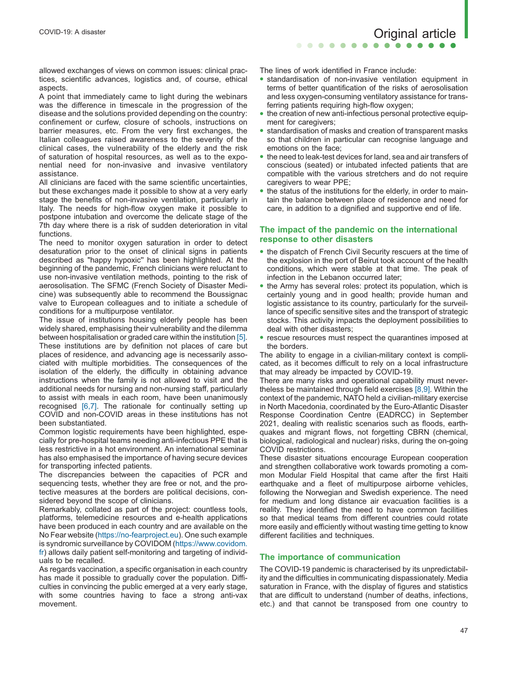allowed exchanges of views on common issues: clinical practices, scientific advances, logistics and, of course, ethical aspects.

A point that immediately came to light during the webinars was the difference in timescale in the progression of the disease and the solutions provided depending on the country: confinement or curfew, closure of schools, instructions on barrier measures, etc. From the very first exchanges, the Italian colleagues raised awareness to the severity of the clinical cases, the vulnerability of the elderly and the risk of saturation of hospital resources, as well as to the exponential need for non-invasive and invasive ventilatory assistance.

All clinicians are faced with the same scientific uncertainties, but these exchanges made it possible to show at a very early stage the benefits of non-invasive ventilation, particularly in Italy. The needs for high-flow oxygen make it possible to postpone intubation and overcome the delicate stage of the 7th day where there is a risk of sudden deterioration in vital functions.

The need to monitor oxygen saturation in order to detect desaturation prior to the onset of clinical signs in patients described as "happy hypoxic'' has been highlighted. At the beginning of the pandemic, French clinicians were reluctant to use non-invasive ventilation methods, pointing to the risk of aerosolisation. The SFMC (French Society of Disaster Medicine) was subsequently able to recommend the Boussignac valve to European colleagues and to initiate a schedule of conditions for a multipurpose ventilator.

The issue of institutions housing elderly people has been widely shared, emphasising their vulnerability and the dilemma between hospitalisation or graded care within the institution [\[5\].](#page-3-0) These institutions are by definition not places of care but places of residence, and advancing age is necessarily associated with multiple morbidities. The consequences of the isolation of the elderly, the difficulty in obtaining advance instructions when the family is not allowed to visit and the additional needs for nursing and non-nursing staff, particularly to assist with meals in each room, have been unanimously recognised [\[6,7\].](#page-3-0) The rationale for continually setting up COVID and non-COVID areas in these institutions has not been substantiated.

Common logistic requirements have been highlighted, especially for pre-hospital teams needing anti-infectious PPE that is less restrictive in a hot environment. An international seminar has also emphasised the importance of having secure devices for transporting infected patients.

The discrepancies between the capacities of PCR and sequencing tests, whether they are free or not, and the protective measures at the borders are political decisions, considered beyond the scope of clinicians.

Remarkably, collated as part of the project: countless tools, platforms, telemedicine resources and e-health applications have been produced in each country and are available on the No Fear website [\(https://no-fearproject.eu\)](https://no-fearproject.eu/). One such example is syndromic surveillance by COVIDOM ([https://www.covidom.](https://www.covidom.fr/) [fr\)](https://www.covidom.fr/) allows daily patient self-monitoring and targeting of individuals to be recalled.

As regards vaccination, a specific organisation in each country has made it possible to gradually cover the population. Difficulties in convincing the public emerged at a very early stage, with some countries having to face a strong anti-vax movement.

The lines of work identified in France include:

 $\begin{array}{ccccccccccccccccc} \bullet & \bullet & \bullet & \bullet & \bullet & \bullet & \bullet \end{array}$ 

- standardisation of non-invasive ventilation equipment in terms of better quantification of the risks of aerosolisation and less oxygen-consuming ventilatory assistance for transferring patients requiring high-flow oxygen;
- the creation of new anti-infectious personal protective equipment for caregivers;
- standardisation of masks and creation of transparent masks so that children in particular can recognise language and emotions on the face;
- the need to leak-test devices for land, sea and air transfers of conscious (seated) or intubated infected patients that are compatible with the various stretchers and do not require caregivers to wear PPE;
- the status of the institutions for the elderly, in order to maintain the balance between place of residence and need for care, in addition to a dignified and supportive end of life.

#### The impact of the pandemic on the international response to other disasters

- the dispatch of French Civil Security rescuers at the time of the explosion in the port of Beirut took account of the health conditions, which were stable at that time. The peak of infection in the Lebanon occurred later;
- the Army has several roles: protect its population, which is certainly young and in good health; provide human and logistic assistance to its country, particularly for the surveillance of specific sensitive sites and the transport of strategic stocks. This activity impacts the deployment possibilities to deal with other disasters;
- rescue resources must respect the quarantines imposed at the borders.

The ability to engage in a civilian-military context is complicated, as it becomes difficult to rely on a local infrastructure that may already be impacted by COVID-19.

There are many risks and operational capability must nevertheless be maintained through field exercises [\[8,9\]](#page-3-0). Within the context of the pandemic, NATO held a civilian-military exercise in North Macedonia, coordinated by the Euro-Atlantic Disaster Response Coordination Centre (EADRCC) in September 2021, dealing with realistic scenarios such as floods, earthquakes and migrant flows, not forgetting CBRN (chemical, biological, radiological and nuclear) risks, during the on-going COVID restrictions.

These disaster situations encourage European cooperation and strengthen collaborative work towards promoting a common Modular Field Hospital that came after the first Haiti earthquake and a fleet of multipurpose airborne vehicles, following the Norwegian and Swedish experience. The need for medium and long distance air evacuation facilities is a reality. They identified the need to have common facilities so that medical teams from different countries could rotate more easily and efficiently without wasting time getting to know different facilities and techniques.

#### The importance of communication

The COVID-19 pandemic is characterised by its unpredictability and the difficulties in communicating dispassionately. Media saturation in France, with the display of figures and statistics that are difficult to understand (number of deaths, infections, etc.) and that cannot be transposed from one country to